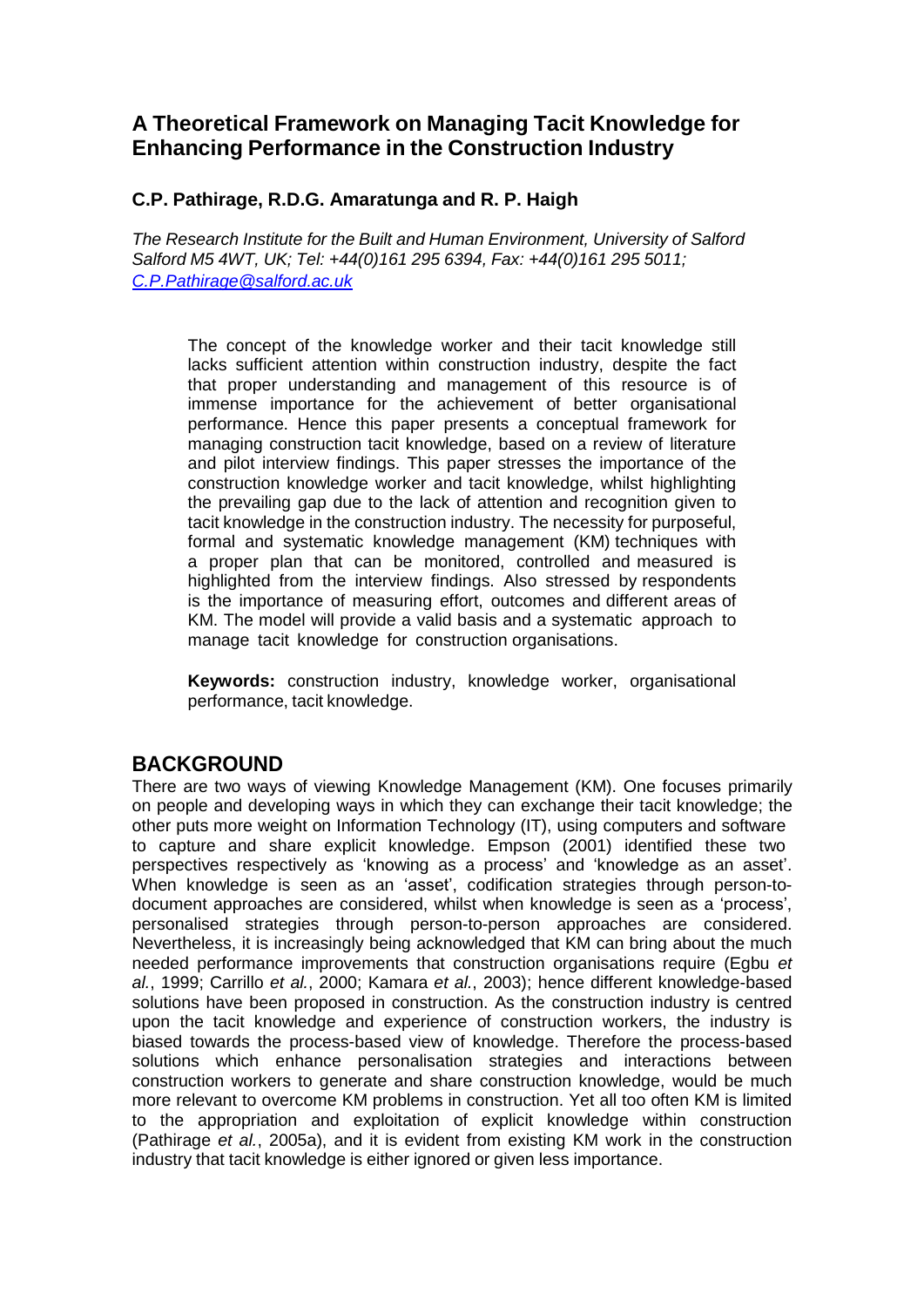## **A Theoretical Framework on Managing Tacit Knowledge for Enhancing Performance in the Construction Industry**

#### **C.P. Pathirage, R.D.G. Amaratunga and R. P. Haigh**

*The Research Institute for the Built and Human Environment, University of Salford Salford M5 4WT, UK; Tel: +44(0)161 295 6394, Fax: +44(0)161 295 5011; C.P.Pathirage@salford.ac.uk*

The concept of the knowledge worker and their tacit knowledge still lacks sufficient attention within construction industry, despite the fact that proper understanding and management of this resource is of immense importance for the achievement of better organisational performance. Hence this paper presents a conceptual framework for managing construction tacit knowledge, based on a review of literature and pilot interview findings. This paper stresses the importance of the construction knowledge worker and tacit knowledge, whilst highlighting the prevailing gap due to the lack of attention and recognition given to tacit knowledge in the construction industry. The necessity for purposeful, formal and systematic knowledge management (KM) techniques with a proper plan that can be monitored, controlled and measured is highlighted from the interview findings. Also stressed by respondents is the importance of measuring effort, outcomes and different areas of KM. The model will provide a valid basis and a systematic approach to manage tacit knowledge for construction organisations.

**Keywords:** construction industry, knowledge worker, organisational performance, tacit knowledge.

### **BACKGROUND**

There are two ways of viewing Knowledge Management (KM). One focuses primarily on people and developing ways in which they can exchange their tacit knowledge; the other puts more weight on Information Technology (IT), using computers and software to capture and share explicit knowledge. Empson (2001) identified these two perspectives respectively as 'knowing as a process' and 'knowledge as an asset'. When knowledge is seen as an 'asset', codification strategies through person-todocument approaches are considered, whilst when knowledge is seen as a 'process', personalised strategies through person-to-person approaches are considered. Nevertheless, it is increasingly being acknowledged that KM can bring about the much needed performance improvements that construction organisations require (Egbu *et al.*, 1999; Carrillo *et al.*, 2000; Kamara *et al.*, 2003); hence different knowledge-based solutions have been proposed in construction. As the construction industry is centred upon the tacit knowledge and experience of construction workers, the industry is biased towards the process-based view of knowledge. Therefore the process-based solutions which enhance personalisation strategies and interactions between construction workers to generate and share construction knowledge, would be much more relevant to overcome KM problems in construction. Yet all too often KM is limited to the appropriation and exploitation of explicit knowledge within construction (Pathirage *et al.*, 2005a), and it is evident from existing KM work in the construction industry that tacit knowledge is either ignored or given less importance.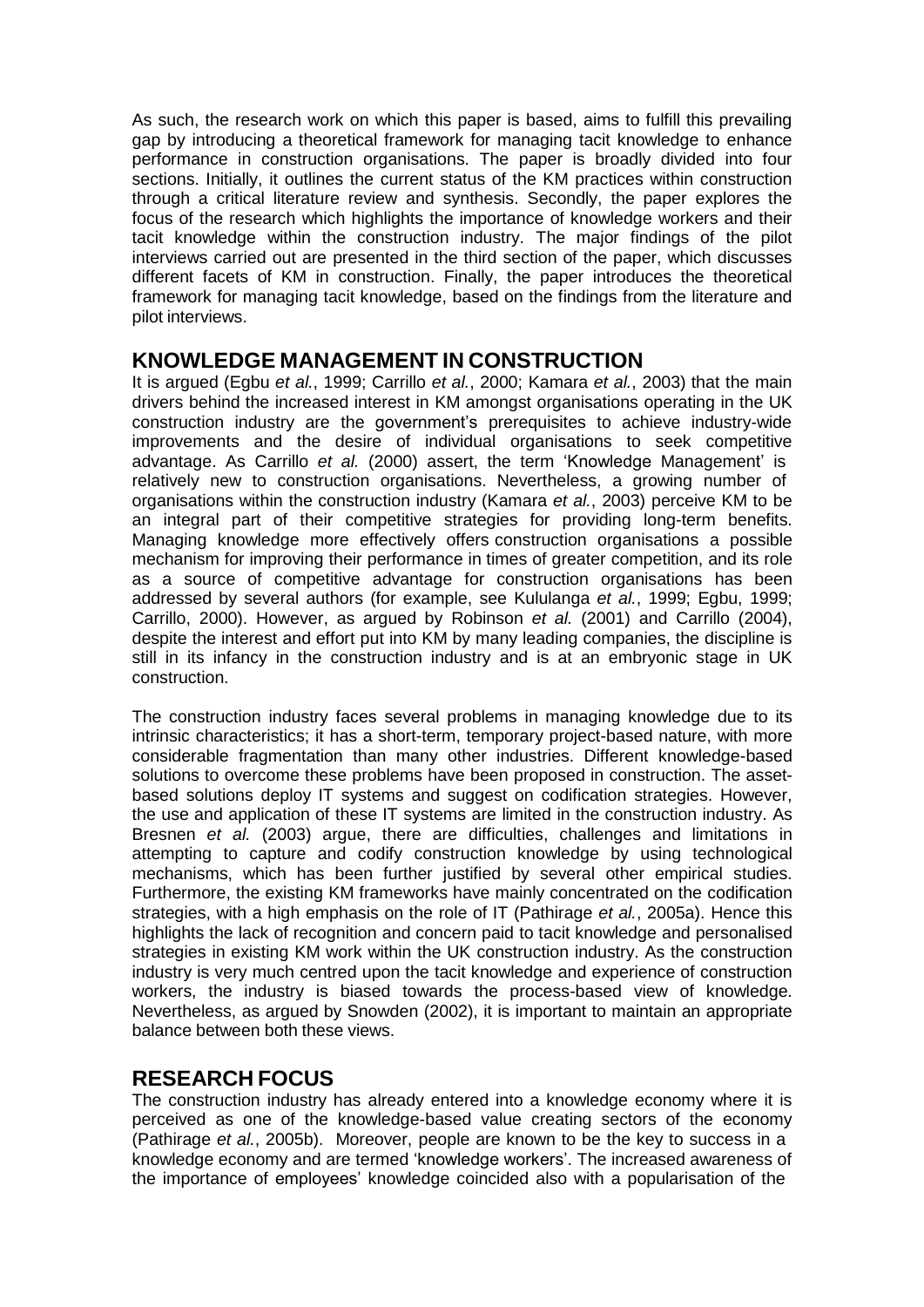As such, the research work on which this paper is based, aims to fulfill this prevailing gap by introducing a theoretical framework for managing tacit knowledge to enhance performance in construction organisations. The paper is broadly divided into four sections. Initially, it outlines the current status of the KM practices within construction through a critical literature review and synthesis. Secondly, the paper explores the focus of the research which highlights the importance of knowledge workers and their tacit knowledge within the construction industry. The major findings of the pilot interviews carried out are presented in the third section of the paper, which discusses different facets of KM in construction. Finally, the paper introduces the theoretical framework for managing tacit knowledge, based on the findings from the literature and pilot interviews.

#### **KNOWLEDGE MANAGEMENT IN CONSTRUCTION**

It is argued (Egbu *et al.*, 1999; Carrillo *et al.*, 2000; Kamara *et al.*, 2003) that the main drivers behind the increased interest in KM amongst organisations operating in the UK construction industry are the government's prerequisites to achieve industry-wide improvements and the desire of individual organisations to seek competitive advantage. As Carrillo *et al.* (2000) assert, the term 'Knowledge Management' is relatively new to construction organisations. Nevertheless, a growing number of organisations within the construction industry (Kamara *et al.*, 2003) perceive KM to be an integral part of their competitive strategies for providing long-term benefits. Managing knowledge more effectively offers construction organisations a possible mechanism for improving their performance in times of greater competition, and its role as a source of competitive advantage for construction organisations has been addressed by several authors (for example, see Kululanga *et al.*, 1999; Egbu, 1999; Carrillo, 2000). However, as argued by Robinson *et al.* (2001) and Carrillo (2004), despite the interest and effort put into KM by many leading companies, the discipline is still in its infancy in the construction industry and is at an embryonic stage in UK construction.

The construction industry faces several problems in managing knowledge due to its intrinsic characteristics; it has a short-term, temporary project-based nature, with more considerable fragmentation than many other industries. Different knowledge-based solutions to overcome these problems have been proposed in construction. The assetbased solutions deploy IT systems and suggest on codification strategies. However, the use and application of these IT systems are limited in the construction industry. As Bresnen *et al.* (2003) argue, there are difficulties, challenges and limitations in attempting to capture and codify construction knowledge by using technological mechanisms, which has been further justified by several other empirical studies. Furthermore, the existing KM frameworks have mainly concentrated on the codification strategies, with a high emphasis on the role of IT (Pathirage *et al.*, 2005a). Hence this highlights the lack of recognition and concern paid to tacit knowledge and personalised strategies in existing KM work within the UK construction industry. As the construction industry is very much centred upon the tacit knowledge and experience of construction workers, the industry is biased towards the process-based view of knowledge. Nevertheless, as argued by Snowden (2002), it is important to maintain an appropriate balance between both these views.

### **RESEARCH FOCUS**

The construction industry has already entered into a knowledge economy where it is perceived as one of the knowledge-based value creating sectors of the economy (Pathirage *et al.*, 2005b). Moreover, people are known to be the key to success in a knowledge economy and are termed 'knowledge workers'. The increased awareness of the importance of employees' knowledge coincided also with a popularisation of the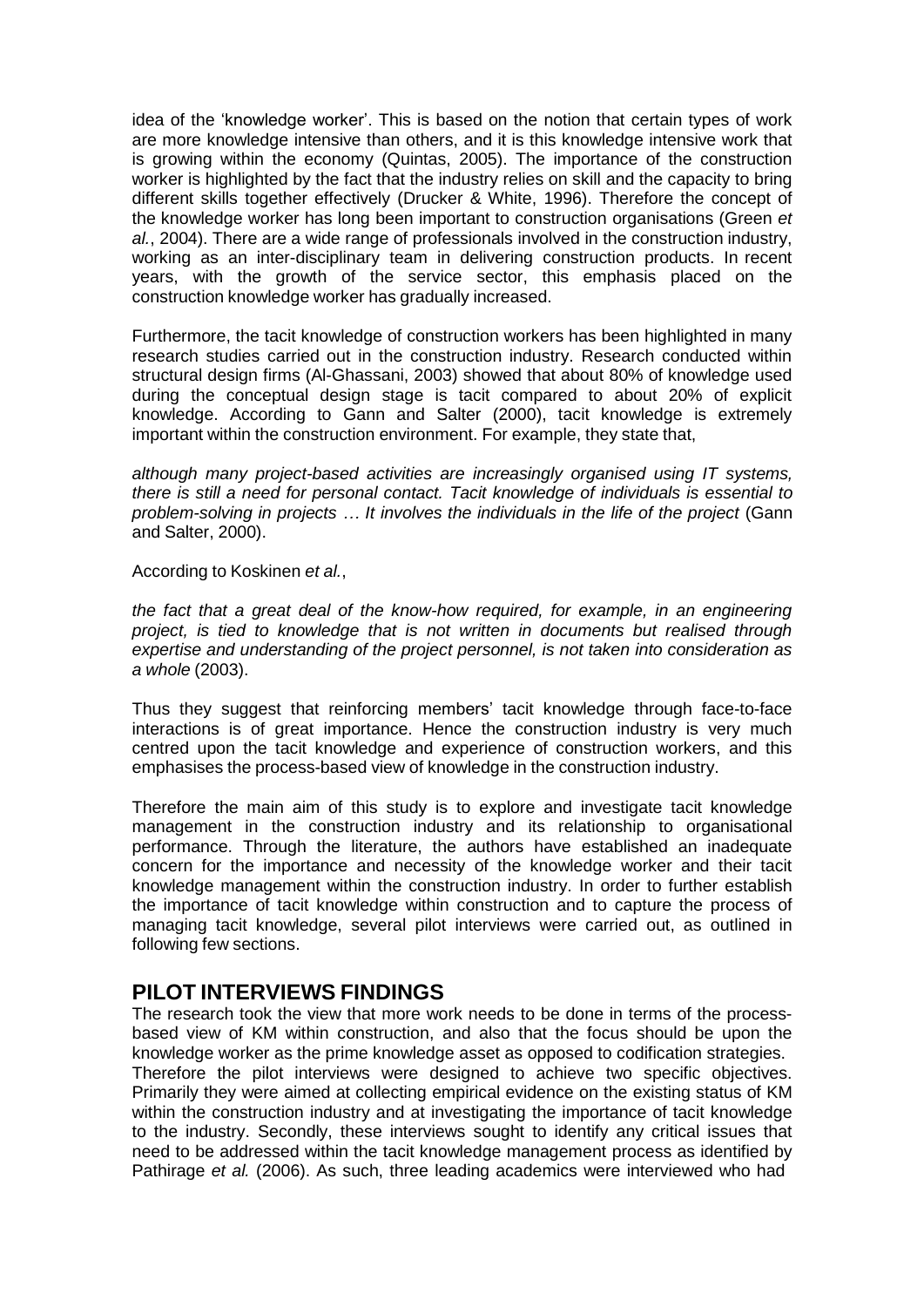idea of the 'knowledge worker'. This is based on the notion that certain types of work are more knowledge intensive than others, and it is this knowledge intensive work that is growing within the economy (Quintas, 2005). The importance of the construction worker is highlighted by the fact that the industry relies on skill and the capacity to bring different skills together effectively (Drucker & White, 1996). Therefore the concept of the knowledge worker has long been important to construction organisations (Green *et al.*, 2004). There are a wide range of professionals involved in the construction industry, working as an inter-disciplinary team in delivering construction products. In recent years, with the growth of the service sector, this emphasis placed on the construction knowledge worker has gradually increased.

Furthermore, the tacit knowledge of construction workers has been highlighted in many research studies carried out in the construction industry. Research conducted within structural design firms (Al-Ghassani, 2003) showed that about 80% of knowledge used during the conceptual design stage is tacit compared to about 20% of explicit knowledge. According to Gann and Salter (2000), tacit knowledge is extremely important within the construction environment. For example, they state that,

*although many project-based activities are increasingly organised using IT systems, there is still a need for personal contact. Tacit knowledge of individuals is essential to problem-solving in projects … It involves the individuals in the life of the project* (Gann and Salter, 2000).

According to Koskinen *et al.*,

*the fact that a great deal of the know-how required, for example, in an engineering project, is tied to knowledge that is not written in documents but realised through expertise and understanding of the project personnel, is not taken into consideration as a whole* (2003).

Thus they suggest that reinforcing members' tacit knowledge through face-to-face interactions is of great importance. Hence the construction industry is very much centred upon the tacit knowledge and experience of construction workers, and this emphasises the process-based view of knowledge in the construction industry.

Therefore the main aim of this study is to explore and investigate tacit knowledge management in the construction industry and its relationship to organisational performance. Through the literature, the authors have established an inadequate concern for the importance and necessity of the knowledge worker and their tacit knowledge management within the construction industry. In order to further establish the importance of tacit knowledge within construction and to capture the process of managing tacit knowledge, several pilot interviews were carried out, as outlined in following few sections.

### **PILOT INTERVIEWS FINDINGS**

The research took the view that more work needs to be done in terms of the processbased view of KM within construction, and also that the focus should be upon the knowledge worker as the prime knowledge asset as opposed to codification strategies. Therefore the pilot interviews were designed to achieve two specific objectives. Primarily they were aimed at collecting empirical evidence on the existing status of KM within the construction industry and at investigating the importance of tacit knowledge to the industry. Secondly, these interviews sought to identify any critical issues that need to be addressed within the tacit knowledge management process as identified by Pathirage *et al.* (2006). As such, three leading academics were interviewed who had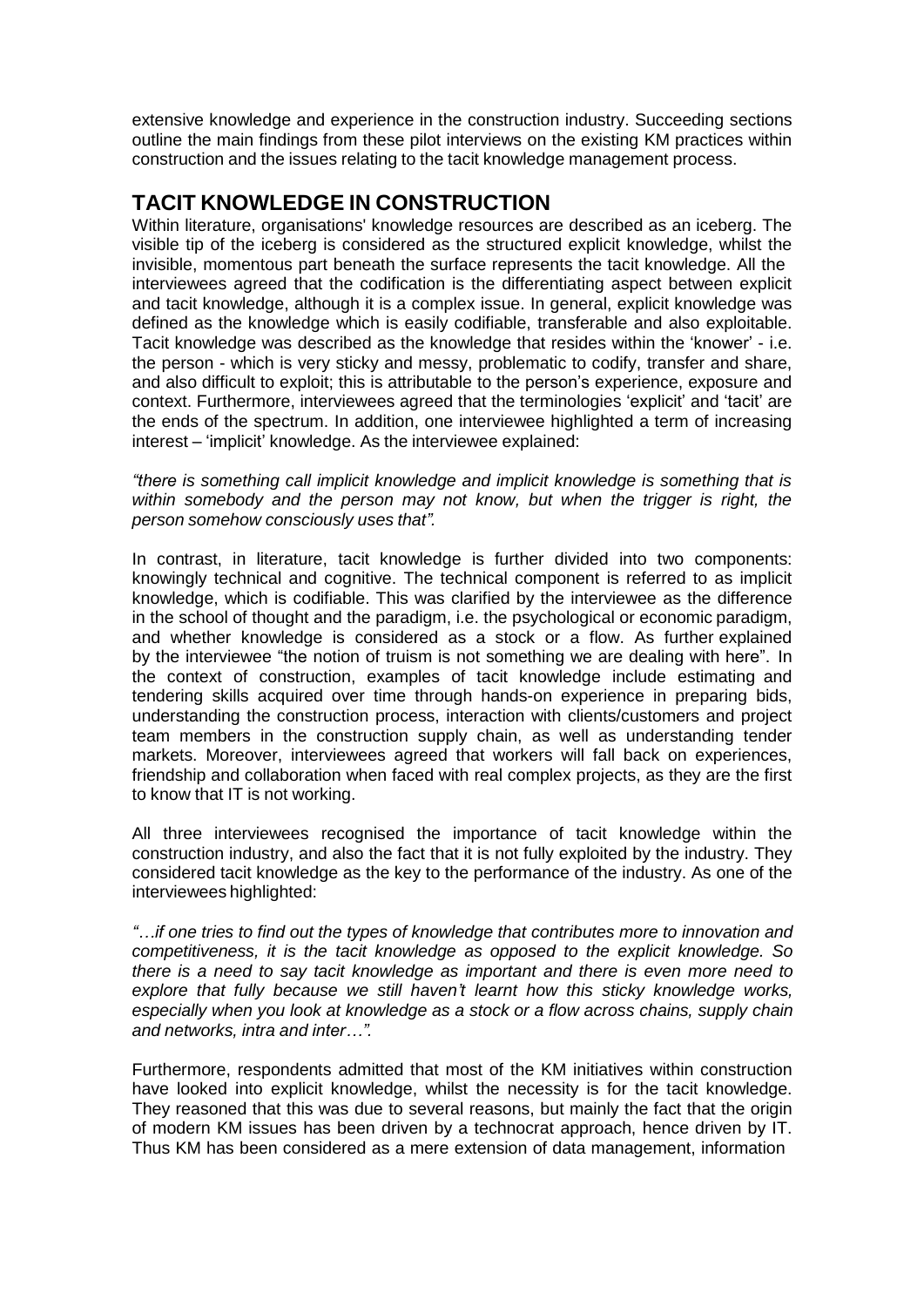extensive knowledge and experience in the construction industry. Succeeding sections outline the main findings from these pilot interviews on the existing KM practices within construction and the issues relating to the tacit knowledge management process.

## **TACIT KNOWLEDGE IN CONSTRUCTION**

Within literature, organisations' knowledge resources are described as an iceberg. The visible tip of the iceberg is considered as the structured explicit knowledge, whilst the invisible, momentous part beneath the surface represents the tacit knowledge. All the interviewees agreed that the codification is the differentiating aspect between explicit and tacit knowledge, although it is a complex issue. In general, explicit knowledge was defined as the knowledge which is easily codifiable, transferable and also exploitable. Tacit knowledge was described as the knowledge that resides within the 'knower' - i.e. the person - which is very sticky and messy, problematic to codify, transfer and share, and also difficult to exploit; this is attributable to the person's experience, exposure and context. Furthermore, interviewees agreed that the terminologies 'explicit' and 'tacit' are the ends of the spectrum. In addition, one interviewee highlighted a term of increasing interest – 'implicit' knowledge. As the interviewee explained:

*"there is something call implicit knowledge and implicit knowledge is something that is within somebody and the person may not know, but when the trigger is right, the person somehow consciously uses that".*

In contrast, in literature, tacit knowledge is further divided into two components: knowingly technical and cognitive. The technical component is referred to as implicit knowledge, which is codifiable. This was clarified by the interviewee as the difference in the school of thought and the paradigm, i.e. the psychological or economic paradigm, and whether knowledge is considered as a stock or a flow. As further explained by the interviewee "the notion of truism is not something we are dealing with here". In the context of construction, examples of tacit knowledge include estimating and tendering skills acquired over time through hands-on experience in preparing bids, understanding the construction process, interaction with clients/customers and project team members in the construction supply chain, as well as understanding tender markets. Moreover, interviewees agreed that workers will fall back on experiences, friendship and collaboration when faced with real complex projects, as they are the first to know that IT is not working.

All three interviewees recognised the importance of tacit knowledge within the construction industry, and also the fact that it is not fully exploited by the industry. They considered tacit knowledge as the key to the performance of the industry. As one of the interviewees highlighted:

*"…if one tries to find out the types of knowledge that contributes more to innovation and competitiveness, it is the tacit knowledge as opposed to the explicit knowledge. So there is a need to say tacit knowledge as important and there is even more need to explore that fully because we still haven't learnt how this sticky knowledge works, especially when you look at knowledge as a stock or a flow across chains, supply chain and networks, intra and inter…".*

Furthermore, respondents admitted that most of the KM initiatives within construction have looked into explicit knowledge, whilst the necessity is for the tacit knowledge. They reasoned that this was due to several reasons, but mainly the fact that the origin of modern KM issues has been driven by a technocrat approach, hence driven by IT. Thus KM has been considered as a mere extension of data management, information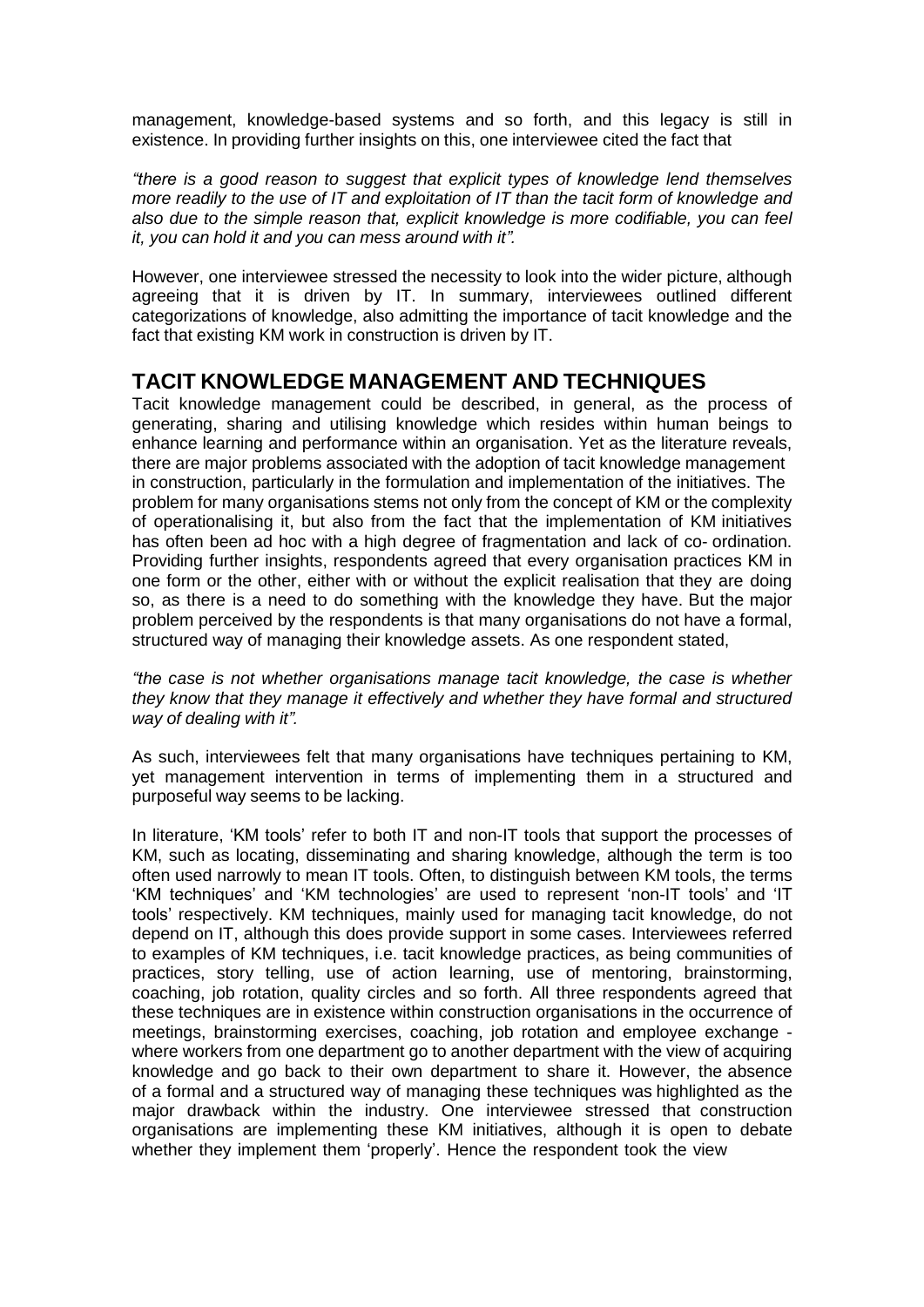management, knowledge-based systems and so forth, and this legacy is still in existence. In providing further insights on this, one interviewee cited the fact that

*"there is a good reason to suggest that explicit types of knowledge lend themselves more readily to the use of IT and exploitation of IT than the tacit form of knowledge and also due to the simple reason that, explicit knowledge is more codifiable, you can feel it, you can hold it and you can mess around with it".*

However, one interviewee stressed the necessity to look into the wider picture, although agreeing that it is driven by IT. In summary, interviewees outlined different categorizations of knowledge, also admitting the importance of tacit knowledge and the fact that existing KM work in construction is driven by IT.

### **TACIT KNOWLEDGE MANAGEMENT AND TECHNIQUES**

Tacit knowledge management could be described, in general, as the process of generating, sharing and utilising knowledge which resides within human beings to enhance learning and performance within an organisation. Yet as the literature reveals, there are major problems associated with the adoption of tacit knowledge management in construction, particularly in the formulation and implementation of the initiatives. The problem for many organisations stems not only from the concept of KM or the complexity of operationalising it, but also from the fact that the implementation of KM initiatives has often been ad hoc with a high degree of fragmentation and lack of co- ordination. Providing further insights, respondents agreed that every organisation practices KM in one form or the other, either with or without the explicit realisation that they are doing so, as there is a need to do something with the knowledge they have. But the major problem perceived by the respondents is that many organisations do not have a formal, structured way of managing their knowledge assets. As one respondent stated,

*"the case is not whether organisations manage tacit knowledge, the case is whether they know that they manage it effectively and whether they have formal and structured way of dealing with it".*

As such, interviewees felt that many organisations have techniques pertaining to KM, yet management intervention in terms of implementing them in a structured and purposeful way seems to be lacking.

In literature, 'KM tools' refer to both IT and non-IT tools that support the processes of KM, such as locating, disseminating and sharing knowledge, although the term is too often used narrowly to mean IT tools. Often, to distinguish between KM tools, the terms 'KM techniques' and 'KM technologies' are used to represent 'non-IT tools' and 'IT tools' respectively. KM techniques, mainly used for managing tacit knowledge, do not depend on IT, although this does provide support in some cases. Interviewees referred to examples of KM techniques, i.e. tacit knowledge practices, as being communities of practices, story telling, use of action learning, use of mentoring, brainstorming, coaching, job rotation, quality circles and so forth. All three respondents agreed that these techniques are in existence within construction organisations in the occurrence of meetings, brainstorming exercises, coaching, job rotation and employee exchange where workers from one department go to another department with the view of acquiring knowledge and go back to their own department to share it. However, the absence of a formal and a structured way of managing these techniques was highlighted as the major drawback within the industry. One interviewee stressed that construction organisations are implementing these KM initiatives, although it is open to debate whether they implement them 'properly'. Hence the respondent took the view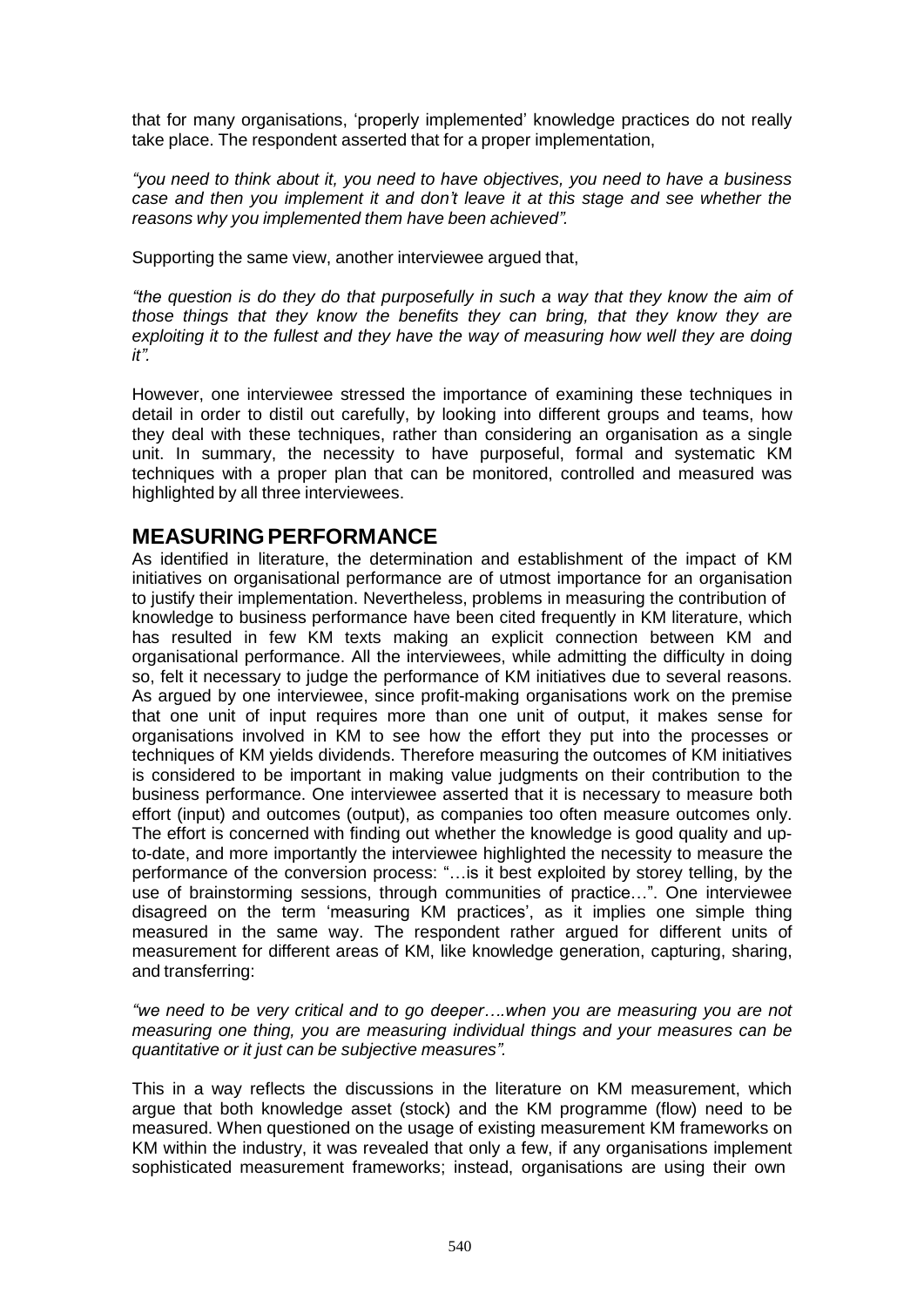that for many organisations, 'properly implemented' knowledge practices do not really take place. The respondent asserted that for a proper implementation,

*"you need to think about it, you need to have objectives, you need to have a business case and then you implement it and don't leave it at this stage and see whether the reasons why you implemented them have been achieved".*

Supporting the same view, another interviewee argued that,

*"the question is do they do that purposefully in such a way that they know the aim of those things that they know the benefits they can bring, that they know they are exploiting it to the fullest and they have the way of measuring how well they are doing it".*

However, one interviewee stressed the importance of examining these techniques in detail in order to distil out carefully, by looking into different groups and teams, how they deal with these techniques, rather than considering an organisation as a single unit. In summary, the necessity to have purposeful, formal and systematic KM techniques with a proper plan that can be monitored, controlled and measured was highlighted by all three interviewees.

### **MEASURINGPERFORMANCE**

As identified in literature, the determination and establishment of the impact of KM initiatives on organisational performance are of utmost importance for an organisation to justify their implementation. Nevertheless, problems in measuring the contribution of knowledge to business performance have been cited frequently in KM literature, which has resulted in few KM texts making an explicit connection between KM and organisational performance. All the interviewees, while admitting the difficulty in doing so, felt it necessary to judge the performance of KM initiatives due to several reasons. As argued by one interviewee, since profit-making organisations work on the premise that one unit of input requires more than one unit of output, it makes sense for organisations involved in KM to see how the effort they put into the processes or techniques of KM yields dividends. Therefore measuring the outcomes of KM initiatives is considered to be important in making value judgments on their contribution to the business performance. One interviewee asserted that it is necessary to measure both effort (input) and outcomes (output), as companies too often measure outcomes only. The effort is concerned with finding out whether the knowledge is good quality and upto-date, and more importantly the interviewee highlighted the necessity to measure the performance of the conversion process: "…is it best exploited by storey telling, by the use of brainstorming sessions, through communities of practice…". One interviewee disagreed on the term 'measuring KM practices', as it implies one simple thing measured in the same way. The respondent rather argued for different units of measurement for different areas of KM, like knowledge generation, capturing, sharing, and transferring:

*"we need to be very critical and to go deeper….when you are measuring you are not measuring one thing, you are measuring individual things and your measures can be quantitative or it just can be subjective measures".*

This in a way reflects the discussions in the literature on KM measurement, which argue that both knowledge asset (stock) and the KM programme (flow) need to be measured. When questioned on the usage of existing measurement KM frameworks on KM within the industry, it was revealed that only a few, if any organisations implement sophisticated measurement frameworks; instead, organisations are using their own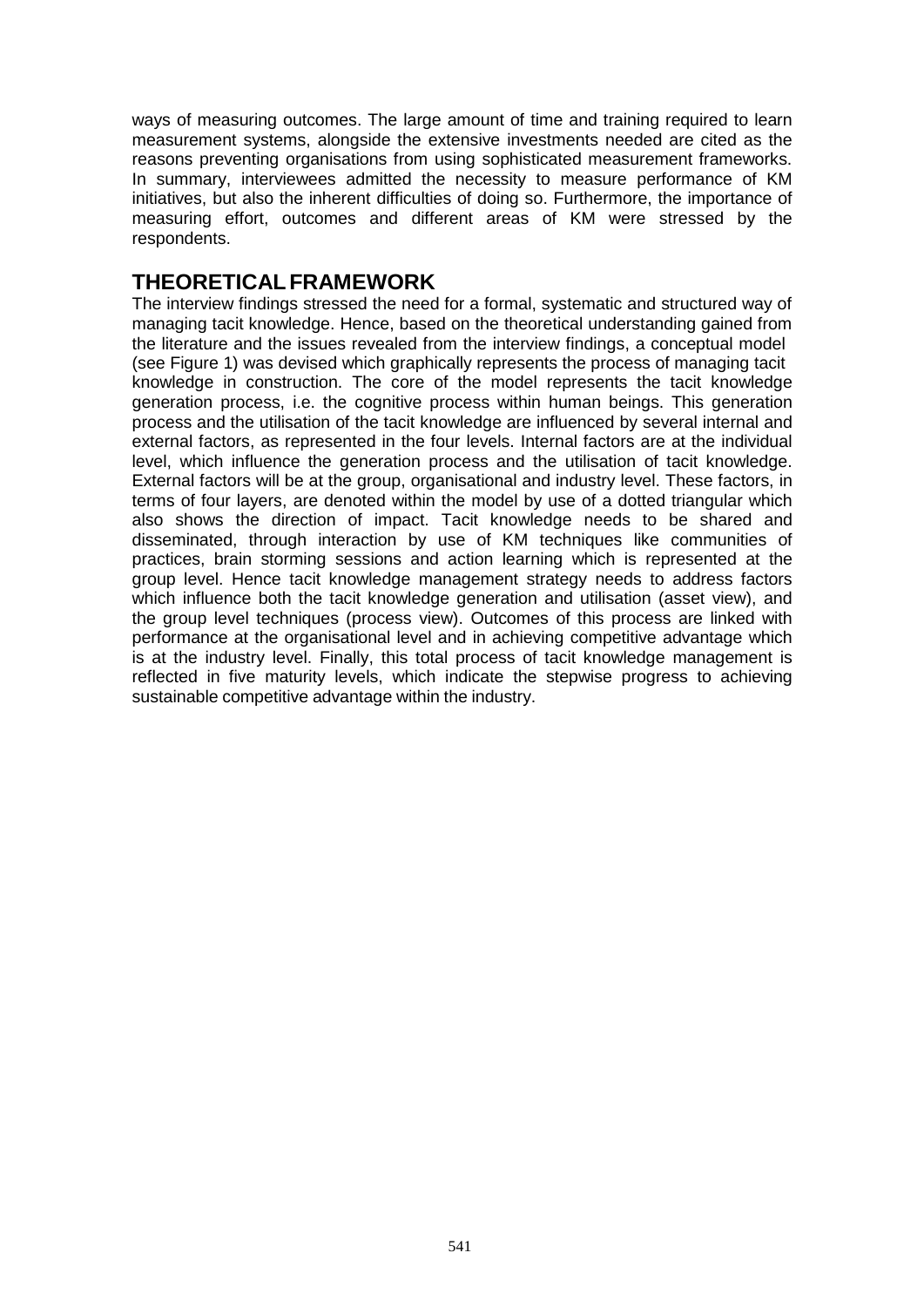ways of measuring outcomes. The large amount of time and training required to learn measurement systems, alongside the extensive investments needed are cited as the reasons preventing organisations from using sophisticated measurement frameworks. In summary, interviewees admitted the necessity to measure performance of KM initiatives, but also the inherent difficulties of doing so. Furthermore, the importance of measuring effort, outcomes and different areas of KM were stressed by the respondents.

#### **THEORETICALFRAMEWORK**

The interview findings stressed the need for a formal, systematic and structured way of managing tacit knowledge. Hence, based on the theoretical understanding gained from the literature and the issues revealed from the interview findings, a conceptual model (see Figure 1) was devised which graphically represents the process of managing tacit knowledge in construction. The core of the model represents the tacit knowledge generation process, i.e. the cognitive process within human beings. This generation process and the utilisation of the tacit knowledge are influenced by several internal and external factors, as represented in the four levels. Internal factors are at the individual level, which influence the generation process and the utilisation of tacit knowledge. External factors will be at the group, organisational and industry level. These factors, in terms of four layers, are denoted within the model by use of a dotted triangular which also shows the direction of impact. Tacit knowledge needs to be shared and disseminated, through interaction by use of KM techniques like communities of practices, brain storming sessions and action learning which is represented at the group level. Hence tacit knowledge management strategy needs to address factors which influence both the tacit knowledge generation and utilisation (asset view), and the group level techniques (process view). Outcomes of this process are linked with performance at the organisational level and in achieving competitive advantage which is at the industry level. Finally, this total process of tacit knowledge management is reflected in five maturity levels, which indicate the stepwise progress to achieving sustainable competitive advantage within the industry.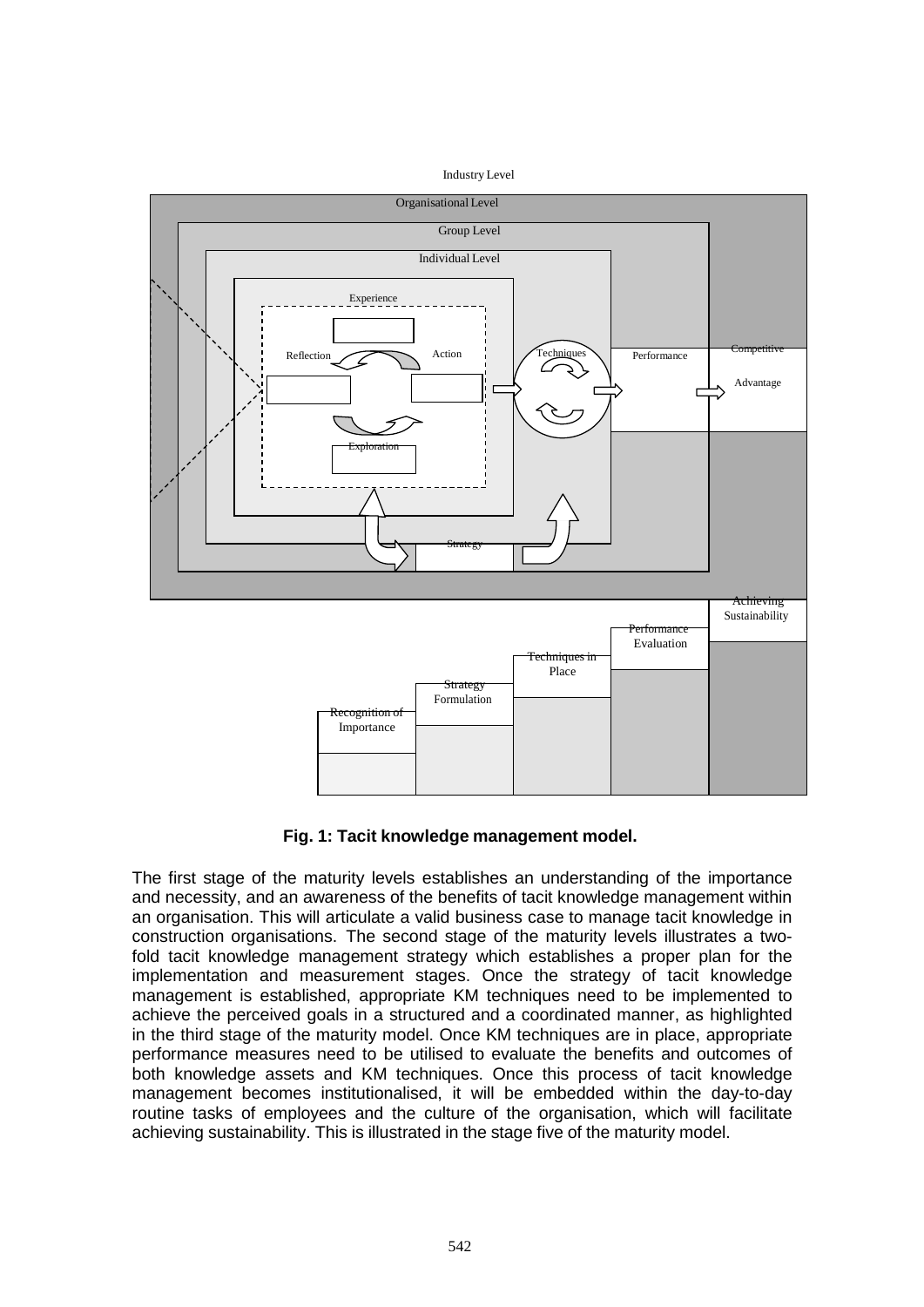



**Fig. 1: Tacit knowledge management model.**

The first stage of the maturity levels establishes an understanding of the importance and necessity, and an awareness of the benefits of tacit knowledge management within an organisation. This will articulate a valid business case to manage tacit knowledge in construction organisations. The second stage of the maturity levels illustrates a twofold tacit knowledge management strategy which establishes a proper plan for the implementation and measurement stages. Once the strategy of tacit knowledge management is established, appropriate KM techniques need to be implemented to achieve the perceived goals in a structured and a coordinated manner, as highlighted in the third stage of the maturity model. Once KM techniques are in place, appropriate performance measures need to be utilised to evaluate the benefits and outcomes of both knowledge assets and KM techniques. Once this process of tacit knowledge management becomes institutionalised, it will be embedded within the day-to-day routine tasks of employees and the culture of the organisation, which will facilitate achieving sustainability. This is illustrated in the stage five of the maturity model.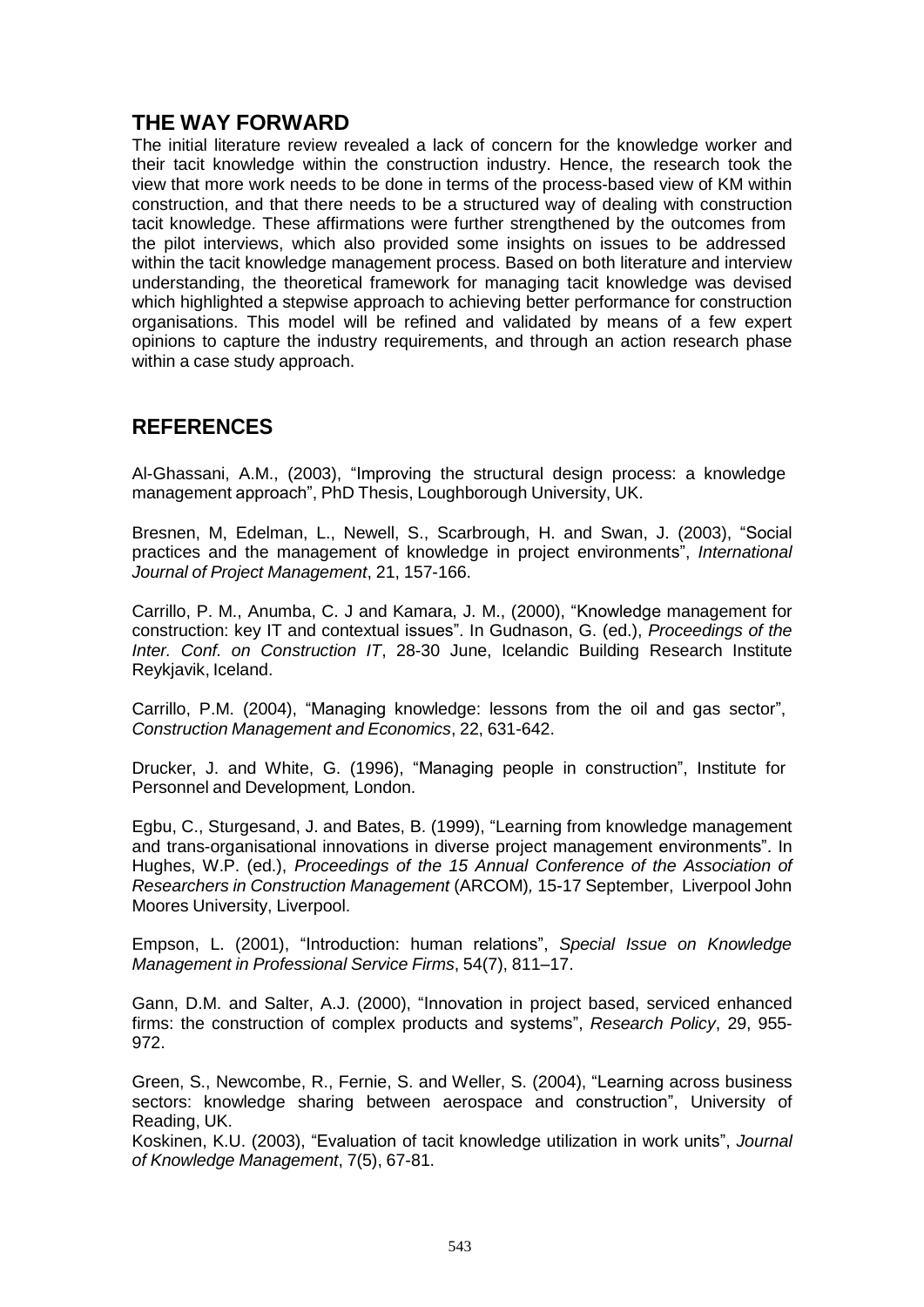## **THE WAY FORWARD**

The initial literature review revealed a lack of concern for the knowledge worker and their tacit knowledge within the construction industry. Hence, the research took the view that more work needs to be done in terms of the process-based view of KM within construction, and that there needs to be a structured way of dealing with construction tacit knowledge. These affirmations were further strengthened by the outcomes from the pilot interviews, which also provided some insights on issues to be addressed within the tacit knowledge management process. Based on both literature and interview understanding, the theoretical framework for managing tacit knowledge was devised which highlighted a stepwise approach to achieving better performance for construction organisations. This model will be refined and validated by means of a few expert opinions to capture the industry requirements, and through an action research phase within a case study approach.

### **REFERENCES**

Al-Ghassani, A.M., (2003), "Improving the structural design process: a knowledge management approach", PhD Thesis, Loughborough University, UK.

Bresnen, M, Edelman, L., Newell, S., Scarbrough, H. and Swan, J. (2003), "Social practices and the management of knowledge in project environments", *International Journal of Project Management*, 21, 157-166.

Carrillo, P. M., Anumba, C. J and Kamara, J. M., (2000), "Knowledge management for construction: key IT and contextual issues". In Gudnason, G. (ed.), *Proceedings of the Inter. Conf. on Construction IT*, 28-30 June, Icelandic Building Research Institute Reykjavik, Iceland.

Carrillo, P.M. (2004), "Managing knowledge: lessons from the oil and gas sector", *Construction Management and Economics*, 22, 631-642.

Drucker, J. and White, G. (1996), "Managing people in construction", Institute for Personnel and Development*,* London.

Egbu, C., Sturgesand, J. and Bates, B. (1999), "Learning from knowledge management and trans-organisational innovations in diverse project management environments". In Hughes, W.P. (ed.), *Proceedings of the 15 Annual Conference of the Association of Researchers in Construction Management* (ARCOM)*,* 15-17 September, Liverpool John Moores University, Liverpool.

Empson, L. (2001), "Introduction: human relations", *Special Issue on Knowledge Management in Professional Service Firms*, 54(7), 811–17.

Gann, D.M. and Salter, A.J. (2000), "Innovation in project based, serviced enhanced firms: the construction of complex products and systems", *Research Policy*, 29, 955- 972.

Green, S., Newcombe, R., Fernie, S. and Weller, S. (2004), "Learning across business sectors: knowledge sharing between aerospace and construction", University of Reading, UK.

Koskinen, K.U. (2003), "Evaluation of tacit knowledge utilization in work units", *Journal of Knowledge Management*, 7(5), 67-81.